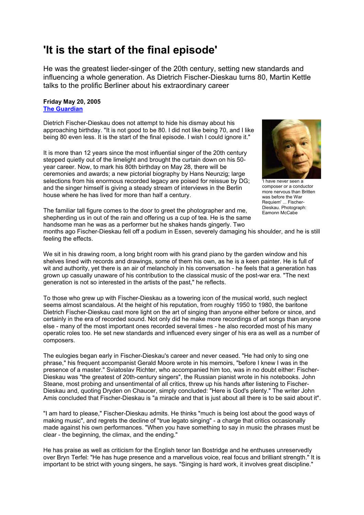## **'It is the start of the final episode'**

He was the greatest lieder-singer of the 20th century, setting new standards and influencing a whole generation. As Dietrich Fischer-Dieskau turns 80, Martin Kettle talks to the prolific Berliner about his extraordinary career

## **Friday May 20, 2005 [The Guardian](http://www.guardian.co.uk/)**

Dietrich Fischer-Dieskau does not attempt to hide his dismay about his approaching birthday. "It is not good to be 80. I did not like being 70, and I like being 80 even less. It is the start of the final episode. I wish I could ignore it."

It is more than 12 years since the most influential singer of the 20th century stepped quietly out of the limelight and brought the curtain down on his 50 year career. Now, to mark his 80th birthday on May 28, there will be ceremonies and awards; a new pictorial biography by Hans Neunzig; large selections from his enormous recorded legacy are poised for reissue by DG; and the singer himself is giving a steady stream of interviews in the Berlin house where he has lived for more than half a century.



'I have never seen a composer or a conductor more nervous than Britten was before the War Requiem' ... Fischer-Dieskau. Photograph: Eamonn McCabe

The familiar tall figure comes to the door to greet the photographer and me, shepherding us in out of the rain and offering us a cup of tea. He is the same handsome man he was as a performer but he shakes hands gingerly. Two

months ago Fischer-Dieskau fell off a podium in Essen, severely damaging his shoulder, and he is still feeling the effects.

We sit in his drawing room, a long bright room with his grand piano by the garden window and his shelves lined with records and drawings, some of them his own, as he is a keen painter. He is full of wit and authority, yet there is an air of melancholy in his conversation - he feels that a generation has grown up casually unaware of his contribution to the classical music of the post-war era. "The next generation is not so interested in the artists of the past," he reflects.

To those who grew up with Fischer-Dieskau as a towering icon of the musical world, such neglect seems almost scandalous. At the height of his reputation, from roughly 1950 to 1980, the baritone Dietrich Fischer-Dieskau cast more light on the art of singing than anyone either before or since, and certainly in the era of recorded sound. Not only did he make more recordings of art songs than anyone else - many of the most important ones recorded several times - he also recorded most of his many operatic roles too. He set new standards and influenced every singer of his era as well as a number of composers.

The eulogies began early in Fischer-Dieskau's career and never ceased. "He had only to sing one phrase," his frequent accompanist Gerald Moore wrote in his memoirs, "before I knew I was in the presence of a master." Sviatoslav Richter, who accompanied him too, was in no doubt either: Fischer-Dieskau was "the greatest of 20th-century singers", the Russian pianist wrote in his notebooks. John Steane, most probing and unsentimental of all critics, threw up his hands after listening to Fischer-Dieskau and, quoting Dryden on Chaucer, simply concluded: "Here is God's plenty." The writer John Amis concluded that Fischer-Dieskau is "a miracle and that is just about all there is to be said about it".

"I am hard to please," Fischer-Dieskau admits. He thinks "much is being lost about the good ways of making music", and regrets the decline of "true legato singing" - a charge that critics occasionally made against his own performances. "When you have something to say in music the phrases must be clear - the beginning, the climax, and the ending."

He has praise as well as criticism for the English tenor Ian Bostridge and he enthuses unreservedly over Bryn Terfel: "He has huge presence and a marvellous voice, real focus and brilliant strength." It is important to be strict with young singers, he says. "Singing is hard work, it involves great discipline."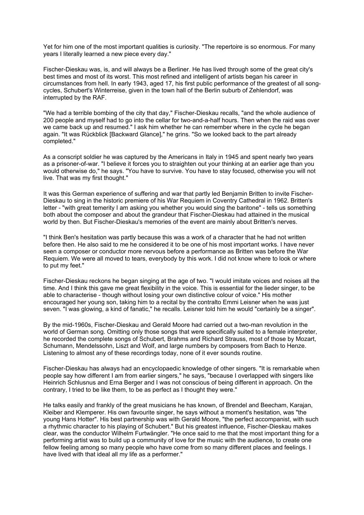Yet for him one of the most important qualities is curiosity. "The repertoire is so enormous. For many years I literally learned a new piece every day."

Fischer-Dieskau was, is, and will always be a Berliner. He has lived through some of the great city's best times and most of its worst. This most refined and intelligent of artists began his career in circumstances from hell. In early 1943, aged 17, his first public performance of the greatest of all songcycles, Schubert's Winterreise, given in the town hall of the Berlin suburb of Zehlendorf, was interrupted by the RAF.

"We had a terrible bombing of the city that day," Fischer-Dieskau recalls, "and the whole audience of 200 people and myself had to go into the cellar for two-and-a-half hours. Then when the raid was over we came back up and resumed." I ask him whether he can remember where in the cycle he began again. "It was Rückblick [Backward Glance]," he grins. "So we looked back to the part already completed."

As a conscript soldier he was captured by the Americans in Italy in 1945 and spent nearly two years as a prisoner-of-war. "I believe it forces you to straighten out your thinking at an earlier age than you would otherwise do," he says. "You have to survive. You have to stay focused, otherwise you will not live. That was my first thought."

It was this German experience of suffering and war that partly led Benjamin Britten to invite Fischer-Dieskau to sing in the historic premiere of his War Requiem in Coventry Cathedral in 1962. Britten's letter - "with great temerity I am asking you whether you would sing the baritone" - tells us something both about the composer and about the grandeur that Fischer-Dieskau had attained in the musical world by then. But Fischer-Dieskau's memories of the event are mainly about Britten's nerves.

"I think Ben's hesitation was partly because this was a work of a character that he had not written before then. He also said to me he considered it to be one of his most important works. I have never seen a composer or conductor more nervous before a performance as Britten was before the War Requiem. We were all moved to tears, everybody by this work. I did not know where to look or where to put my feet."

Fischer-Dieskau reckons he began singing at the age of two. "I would imitate voices and noises all the time. And I think this gave me great flexibility in the voice. This is essential for the lieder singer, to be able to characterise - though without losing your own distinctive colour of voice." His mother encouraged her young son, taking him to a recital by the contralto Emmi Leisner when he was just seven. "I was glowing, a kind of fanatic," he recalls. Leisner told him he would "certainly be a singer".

By the mid-1960s, Fischer-Dieskau and Gerald Moore had carried out a two-man revolution in the world of German song. Omitting only those songs that were specifically suited to a female interpreter. he recorded the complete songs of Schubert, Brahms and Richard Strauss, most of those by Mozart, Schumann, Mendelssohn, Liszt and Wolf, and large numbers by composers from Bach to Henze. Listening to almost any of these recordings today, none of it ever sounds routine.

Fischer-Dieskau has always had an encyclopaedic knowledge of other singers. "It is remarkable when people say how different I am from earlier singers," he says, "because I overlapped with singers like Heinrich Schlusnus and Erna Berger and I was not conscious of being different in approach. On the contrary, I tried to be like them, to be as perfect as I thought they were."

He talks easily and frankly of the great musicians he has known, of Brendel and Beecham, Karajan, Kleiber and Klemperer. His own favourite singer, he says without a moment's hesitation, was "the young Hans Hotter". His best partnership was with Gerald Moore, "the perfect accompanist, with such a rhythmic character to his playing of Schubert." But his greatest influence, Fischer-Dieskau makes clear, was the conductor Wilhelm Furtwängler. "He once said to me that the most important thing for a performing artist was to build up a community of love for the music with the audience, to create one fellow feeling among so many people who have come from so many different places and feelings. I have lived with that ideal all my life as a performer."